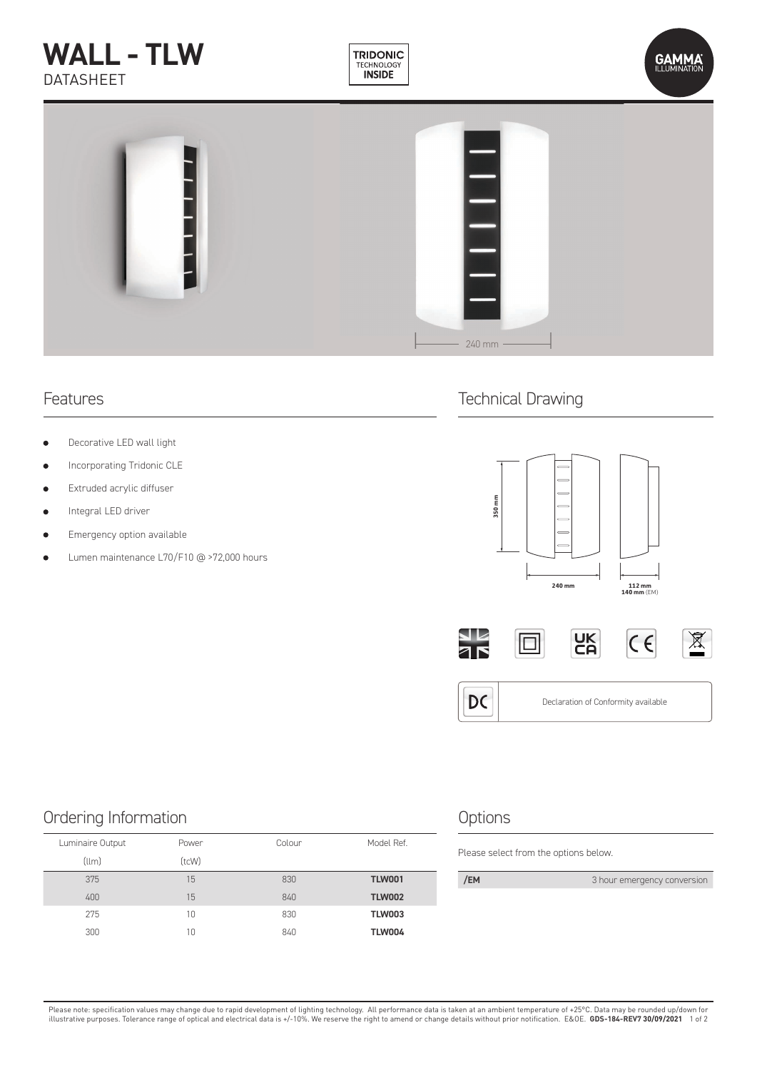# **WALL - TLW** DATASHEET







- Decorative LED wall light
- Incorporating Tridonic CLE
- Extruded acrylic diffuser
- Integral LED driver  $\bullet$
- Emergency option available
- Lumen maintenance L70/F10 @ >72,000 hours

### Features **Technical Drawing**







### Ordering Information and the Contraction of the Options

| Model Ref.<br>Colour | Power | Luminaire Output |
|----------------------|-------|------------------|
|                      | (tcW) | (llm)            |
| 830<br><b>TLW001</b> | 15    | 375              |
| 840<br><b>TLW002</b> | 15    | 400              |
| 830<br><b>TLW003</b> | 10    | 275              |
| <b>TLW004</b><br>840 | 10    | 300              |

Please select from the options below.

| /EM<br>3 hour emergency conversion |
|------------------------------------|
|------------------------------------|

Please note: specification values may change due to rapid development of lighting technology. All performance data is taken at an ambient temperature of +25°C. Data may be rounded up/down for<br>illustrative purposes. Toleran